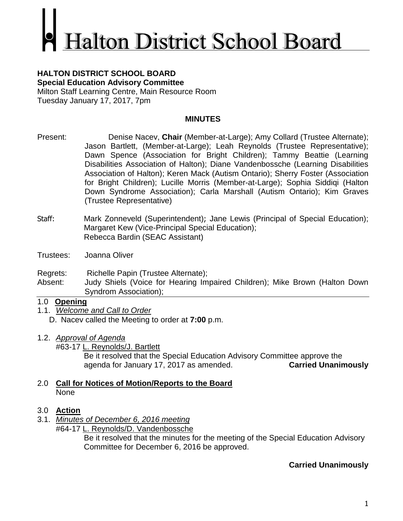# **Ialton District School Board**

### **HALTON DISTRICT SCHOOL BOARD Special Education Advisory Committee**

Milton Staff Learning Centre, Main Resource Room Tuesday January 17, 2017, 7pm

## **MINUTES**

- Present: Denise Nacev, **Chair** (Member-at-Large); Amy Collard (Trustee Alternate); Jason Bartlett, (Member-at-Large); Leah Reynolds (Trustee Representative); Dawn Spence (Association for Bright Children); Tammy Beattie (Learning Disabilities Association of Halton); Diane Vandenbossche (Learning Disabilities Association of Halton); Keren Mack (Autism Ontario); Sherry Foster (Association for Bright Children); Lucille Morris (Member-at-Large); Sophia Siddiqi (Halton Down Syndrome Association); Carla Marshall (Autism Ontario); Kim Graves (Trustee Representative)
- Staff: Mark Zonneveld (Superintendent); Jane Lewis (Principal of Special Education); Margaret Kew (Vice-Principal Special Education); Rebecca Bardin (SEAC Assistant)
- Trustees: Joanna Oliver

Regrets: Richelle Papin (Trustee Alternate);

Absent: Judy Shiels (Voice for Hearing Impaired Children); Mike Brown (Halton Down Syndrom Association);

# 1.0 **Opening**

- 1.1. *Welcome and Call to Order* D. Nacev called the Meeting to order at **7:00** p.m.
- 1.2. *Approval of Agenda*

#63-17 L. Reynolds/J. Bartlett Be it resolved that the Special Education Advisory Committee approve the agenda for January 17, 2017 as amended. **Carried Unanimously**

# 2.0 **Call for Notices of Motion/Reports to the Board** None

# 3.0 **Action**

3.1. *Minutes of December 6, 2016 meeting* #64-17 L. Reynolds/D. Vandenbossche

> Be it resolved that the minutes for the meeting of the Special Education Advisory Committee for December 6, 2016 be approved.

# **Carried Unanimously**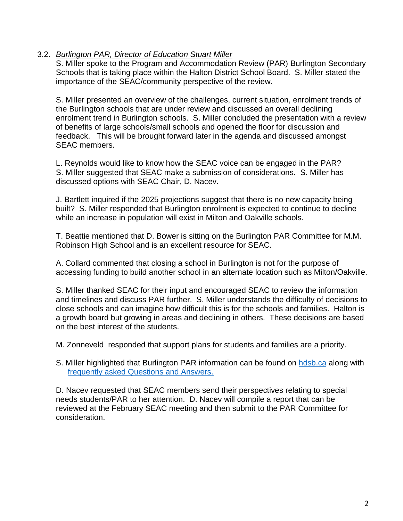### 3.2. *Burlington PAR, Director of Education Stuart Miller*

S. Miller spoke to the Program and Accommodation Review (PAR) Burlington Secondary Schools that is taking place within the Halton District School Board. S. Miller stated the importance of the SEAC/community perspective of the review.

S. Miller presented an overview of the challenges, current situation, enrolment trends of the Burlington schools that are under review and discussed an overall declining enrolment trend in Burlington schools. S. Miller concluded the presentation with a review of benefits of large schools/small schools and opened the floor for discussion and feedback. This will be brought forward later in the agenda and discussed amongst SEAC members.

L. Reynolds would like to know how the SEAC voice can be engaged in the PAR? S. Miller suggested that SEAC make a submission of considerations. S. Miller has discussed options with SEAC Chair, D. Nacev.

J. Bartlett inquired if the 2025 projections suggest that there is no new capacity being built? S. Miller responded that Burlington enrolment is expected to continue to decline while an increase in population will exist in Milton and Oakville schools.

T. Beattie mentioned that D. Bower is sitting on the Burlington PAR Committee for M.M. Robinson High School and is an excellent resource for SEAC.

A. Collard commented that closing a school in Burlington is not for the purpose of accessing funding to build another school in an alternate location such as Milton/Oakville.

S. Miller thanked SEAC for their input and encouraged SEAC to review the information and timelines and discuss PAR further. S. Miller understands the difficulty of decisions to close schools and can imagine how difficult this is for the schools and families. Halton is a growth board but growing in areas and declining in others. These decisions are based on the best interest of the students.

M. Zonneveld responded that support plans for students and families are a priority.

S. Miller highlighted that Burlington PAR information can be found on [hdsb.ca](https://www.hdsb.ca/schools/Pages/Program%20Accommodation%20Studies/2016-Burlington-Secondary-PAR.aspx) along with [frequently asked Questions and Answers.](https://www.hdsb.ca/schools/Pages/Program%20Accommodation%20Studies/Burlington%20Secondary%20School%20Program%20Accommodation%20Review%20%28PAR%29/Frequently-Asked-Questions.aspx)

D. Nacev requested that SEAC members send their perspectives relating to special needs students/PAR to her attention. D. Nacev will compile a report that can be reviewed at the February SEAC meeting and then submit to the PAR Committee for consideration.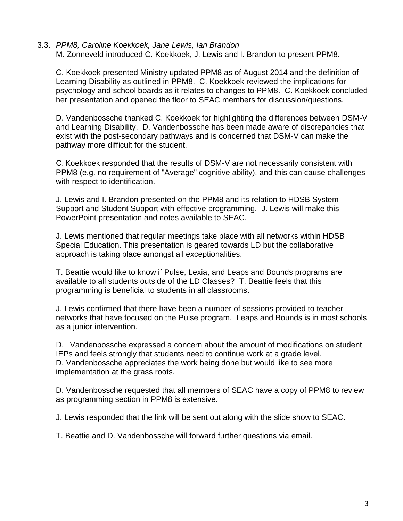# 3.3. *PPM8, Caroline Koekkoek, Jane Lewis, Ian Brandon*

M. Zonneveld introduced C. Koekkoek, J. Lewis and I. Brandon to present PPM8.

C. Koekkoek presented Ministry updated PPM8 as of August 2014 and the definition of Learning Disability as outlined in PPM8. C. Koekkoek reviewed the implications for psychology and school boards as it relates to changes to PPM8. C. Koekkoek concluded her presentation and opened the floor to SEAC members for discussion/questions.

D. Vandenbossche thanked C. Koekkoek for highlighting the differences between DSM-V and Learning Disability. D. Vandenbossche has been made aware of discrepancies that exist with the post-secondary pathways and is concerned that DSM-V can make the pathway more difficult for the student.

C. Koekkoek responded that the results of DSM-V are not necessarily consistent with PPM8 (e.g. no requirement of "Average" cognitive ability), and this can cause challenges with respect to identification.

J. Lewis and I. Brandon presented on the PPM8 and its relation to HDSB System Support and Student Support with effective programming. J. Lewis will make this PowerPoint presentation and notes available to SEAC.

J. Lewis mentioned that regular meetings take place with all networks within HDSB Special Education. This presentation is geared towards LD but the collaborative approach is taking place amongst all exceptionalities.

T. Beattie would like to know if Pulse, Lexia, and Leaps and Bounds programs are available to all students outside of the LD Classes? T. Beattie feels that this programming is beneficial to students in all classrooms.

J. Lewis confirmed that there have been a number of sessions provided to teacher networks that have focused on the Pulse program. Leaps and Bounds is in most schools as a junior intervention.

D. Vandenbossche expressed a concern about the amount of modifications on student IEPs and feels strongly that students need to continue work at a grade level. D. Vandenbossche appreciates the work being done but would like to see more implementation at the grass roots.

D. Vandenbossche requested that all members of SEAC have a copy of PPM8 to review as programming section in PPM8 is extensive.

J. Lewis responded that the link will be sent out along with the slide show to SEAC.

T. Beattie and D. Vandenbossche will forward further questions via email.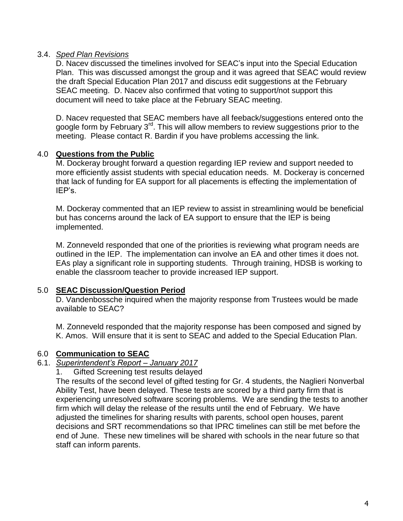### 3.4. *Sped Plan Revisions*

D. Nacev discussed the timelines involved for SEAC's input into the Special Education Plan. This was discussed amongst the group and it was agreed that SEAC would review the draft Special Education Plan 2017 and discuss edit suggestions at the February SEAC meeting. D. Nacev also confirmed that voting to support/not support this document will need to take place at the February SEAC meeting.

D. Nacev requested that SEAC members have all feeback/suggestions entered onto the google form by February 3rd. This will allow members to review suggestions prior to the meeting. Please contact R. Bardin if you have problems accessing the link.

### 4.0 **Questions from the Public**

M. Dockeray brought forward a question regarding IEP review and support needed to more efficiently assist students with special education needs. M. Dockeray is concerned that lack of funding for EA support for all placements is effecting the implementation of IEP's.

M. Dockeray commented that an IEP review to assist in streamlining would be beneficial but has concerns around the lack of EA support to ensure that the IEP is being implemented.

M. Zonneveld responded that one of the priorities is reviewing what program needs are outlined in the IEP. The implementation can involve an EA and other times it does not. EAs play a significant role in supporting students. Through training, HDSB is working to enable the classroom teacher to provide increased IEP support.

### 5.0 **SEAC Discussion/Question Period**

D. Vandenbossche inquired when the majority response from Trustees would be made available to SEAC?

M. Zonneveld responded that the majority response has been composed and signed by K. Amos. Will ensure that it is sent to SEAC and added to the Special Education Plan.

### 6.0 **Communication to SEAC**

### 6.1. *Superintendent's Report – January 2017*

1. Gifted Screening test results delayed

The results of the second level of gifted testing for Gr. 4 students, the Naglieri Nonverbal Ability Test, have been delayed. These tests are scored by a third party firm that is experiencing unresolved software scoring problems. We are sending the tests to another firm which will delay the release of the results until the end of February. We have adjusted the timelines for sharing results with parents, school open houses, parent decisions and SRT recommendations so that IPRC timelines can still be met before the end of June. These new timelines will be shared with schools in the near future so that staff can inform parents.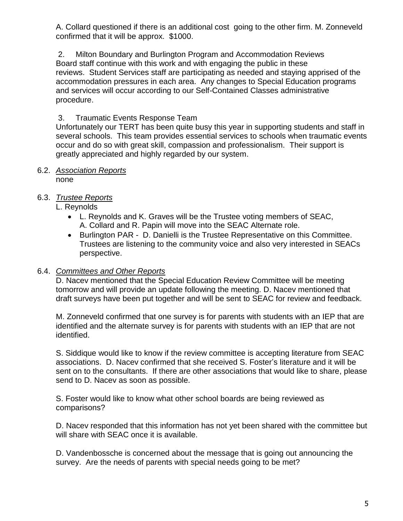A. Collard questioned if there is an additional cost going to the other firm. M. Zonneveld confirmed that it will be approx. \$1000.

2. Milton Boundary and Burlington Program and Accommodation Reviews Board staff continue with this work and with engaging the public in these reviews. Student Services staff are participating as needed and staying apprised of the accommodation pressures in each area. Any changes to Special Education programs and services will occur according to our Self-Contained Classes administrative procedure.

### 3. Traumatic Events Response Team

Unfortunately our TERT has been quite busy this year in supporting students and staff in several schools. This team provides essential services to schools when traumatic events occur and do so with great skill, compassion and professionalism. Their support is greatly appreciated and highly regarded by our system.

### 6.2. *Association Reports*

none

### 6.3. *Trustee Reports*

L. Reynolds

- L. Reynolds and K. Graves will be the Trustee voting members of SEAC, A. Collard and R. Papin will move into the SEAC Alternate role.
- Burlington PAR D. Danielli is the Trustee Representative on this Committee. Trustees are listening to the community voice and also very interested in SEACs perspective.

### 6.4. *Committees and Other Reports*

D. Nacev mentioned that the Special Education Review Committee will be meeting tomorrow and will provide an update following the meeting. D. Nacev mentioned that draft surveys have been put together and will be sent to SEAC for review and feedback.

M. Zonneveld confirmed that one survey is for parents with students with an IEP that are identified and the alternate survey is for parents with students with an IEP that are not identified.

S. Siddique would like to know if the review committee is accepting literature from SEAC associations. D. Nacev confirmed that she received S. Foster's literature and it will be sent on to the consultants. If there are other associations that would like to share, please send to D. Nacev as soon as possible.

S. Foster would like to know what other school boards are being reviewed as comparisons?

D. Nacev responded that this information has not yet been shared with the committee but will share with SEAC once it is available.

D. Vandenbossche is concerned about the message that is going out announcing the survey. Are the needs of parents with special needs going to be met?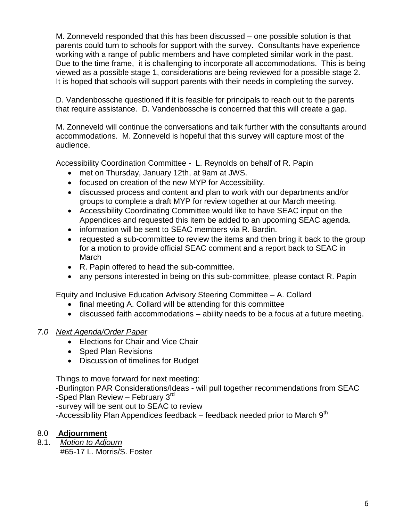M. Zonneveld responded that this has been discussed – one possible solution is that parents could turn to schools for support with the survey. Consultants have experience working with a range of public members and have completed similar work in the past. Due to the time frame, it is challenging to incorporate all accommodations. This is being viewed as a possible stage 1, considerations are being reviewed for a possible stage 2. It is hoped that schools will support parents with their needs in completing the survey.

D. Vandenbossche questioned if it is feasible for principals to reach out to the parents that require assistance. D. Vandenbossche is concerned that this will create a gap.

M. Zonneveld will continue the conversations and talk further with the consultants around accommodations. M. Zonneveld is hopeful that this survey will capture most of the audience.

Accessibility Coordination Committee - L. Reynolds on behalf of R. Papin

- met on Thursday, January 12th, at 9am at JWS.
- focused on creation of the new MYP for Accessibility.
- discussed process and content and plan to work with our departments and/or groups to complete a draft MYP for review together at our March meeting.
- Accessibility Coordinating Committee would like to have SEAC input on the Appendices and requested this item be added to an upcoming SEAC agenda.
- information will be sent to SEAC members via R. Bardin.
- requested a sub-committee to review the items and then bring it back to the group for a motion to provide official SEAC comment and a report back to SEAC in March
- R. Papin offered to head the sub-committee.
- any persons interested in being on this sub-committee, please contact R. Papin

Equity and Inclusive Education Advisory Steering Committee – A. Collard

- final meeting A. Collard will be attending for this committee
- discussed faith accommodations ability needs to be a focus at a future meeting.

# *7.0 Next Agenda/Order Paper*

- Elections for Chair and Vice Chair
- Sped Plan Revisions
- Discussion of timelines for Budget

Things to move forward for next meeting:

-Burlington PAR Considerations/Ideas - will pull together recommendations from SEAC -Sped Plan Review – February  $3<sup>rd</sup>$ 

-survey will be sent out to SEAC to review

-Accessibility Plan Appendices feedback – feedback needed prior to March  $9<sup>th</sup>$ 

# 8.0 **Adjournment**

8.1. *Motion to Adjourn* #65-17 L. Morris/S. Foster